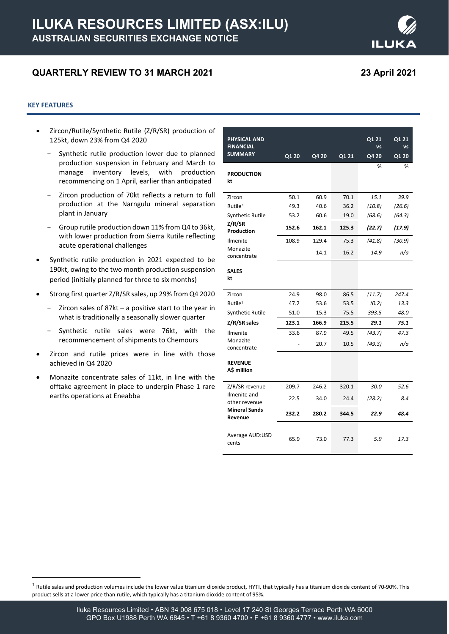# **QUARTERLY REVIEW TO 31 MARCH 2021 23 April 2021**

# **KEY FEATURES**

- Zircon/Rutile/Synthetic Rutile (Z/R/SR) production of 125kt, down 23% from Q4 2020
	- Synthetic rutile production lower due to planned production suspension in February and March to manage inventory levels, with production recommencing on 1 April, earlier than anticipated
	- Zircon production of 70kt reflects a return to full production at the Narngulu mineral separation plant in January
	- Group rutile production down 11% from Q4 to 36kt, with lower production from Sierra Rutile reflecting acute operational challenges
- Synthetic rutile production in 2021 expected to be 190kt, owing to the two month production suspension period (initially planned for three to six months)
- Strong first quarter Z/R/SR sales, up 29% from Q4 2020
	- Zircon sales of 87kt a positive start to the year in what is traditionally a seasonally slower quarter
	- Synthetic rutile sales were 76kt, with the recommencement of shipments to Chemours
- Zircon and rutile prices were in line with those achieved in Q4 2020
- Monazite concentrate sales of 11kt, in line with the offtake agreement in place to underpin Phase 1 rare earths operations at Eneabba

| <b>PHYSICAL AND</b><br><b>FINANCIAL</b>                          |       |       |       | Q1 21<br><b>VS</b> | Q1 21<br>VS |
|------------------------------------------------------------------|-------|-------|-------|--------------------|-------------|
| <b>SUMMARY</b>                                                   | Q1 20 | Q4 20 | Q1 21 | Q4 20              | Q1 20       |
|                                                                  |       |       |       | %                  | ℅           |
| <b>PRODUCTION</b>                                                |       |       |       |                    |             |
| kt                                                               |       |       |       |                    |             |
| Zircon                                                           | 50.1  | 60.9  | 70.1  | 15.1               | 39.9        |
| Rutile <sup>1</sup>                                              | 49.3  | 40.6  | 36.2  | (10.8)             | (26.6)      |
| <b>Synthetic Rutile</b>                                          | 53.2  | 60.6  | 19.0  | (68.6)             | (64.3)      |
| Z/R/SR<br>Production                                             | 152.6 | 162.1 | 125.3 | (22.7)             | (17.9)      |
| Ilmenite                                                         | 108.9 | 129.4 | 75.3  | (41.8)             | (30.9)      |
| Monazite<br>concentrate                                          |       | 14.1  | 16.2  | 14.9               | n/a         |
| <b>SALES</b>                                                     |       |       |       |                    |             |
| kt                                                               |       |       |       |                    |             |
|                                                                  |       |       |       |                    |             |
| Zircon                                                           | 24.9  | 98.0  | 86.5  | (11.7)             | 247.4       |
| Rutile <sup>1</sup>                                              | 47.2  | 53.6  | 53.5  | (0.2)              | 13.3        |
| <b>Synthetic Rutile</b>                                          | 51.0  | 15.3  | 75.5  | 393.5              | 48.0        |
| Z/R/SR sales                                                     | 123.1 | 166.9 | 215.5 | 29.1               | 75.1        |
| Ilmenite<br>Monazite                                             | 33.6  | 87.9  | 49.5  | (43.7)             | 47.3        |
| concentrate                                                      |       | 20.7  | 10.5  | (49.3)             | n/a         |
| <b>REVENUE</b>                                                   |       |       |       |                    |             |
| A\$ million                                                      |       |       |       |                    |             |
| Z/R/SR revenue                                                   | 209.7 | 246.2 | 320.1 | 30.0               | 52.6        |
| Ilmenite and<br>other revenue<br><b>Mineral Sands</b><br>Revenue | 22.5  | 34.0  | 24.4  | (28.2)             | 8.4         |
|                                                                  | 232.2 | 280.2 | 344.5 | 22.9               | 48.4        |
| Average AUD:USD<br>cents                                         | 65.9  | 73.0  | 77.3  | 5.9                | 17.3        |



<span id="page-0-0"></span> $1$  Rutile sales and production volumes include the lower value titanium dioxide product, HYTI, that typically has a titanium dioxide content of 70-90%. This product sells at a lower price than rutile, which typically has a titanium dioxide content of 95%.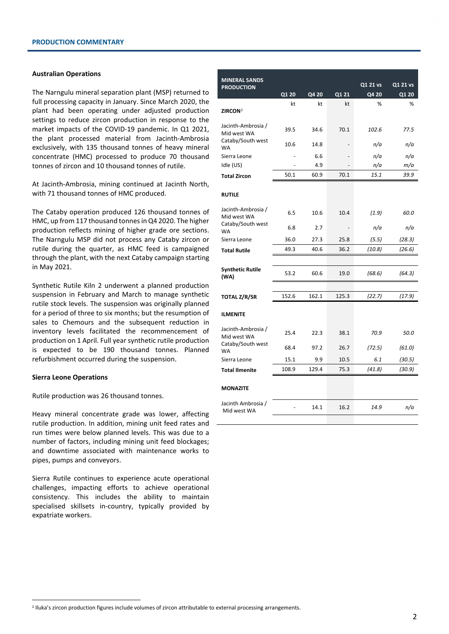# **Australian Operations**

The Narngulu mineral separation plant (MSP) returned to full processing capacity in January. Since March 2020, the plant had been operating under adjusted production settings to reduce zircon production in response to the market impacts of the COVID-19 pandemic. In Q1 2021, the plant processed material from Jacinth-Ambrosia exclusively, with 135 thousand tonnes of heavy mineral concentrate (HMC) processed to produce 70 thousand tonnes of zircon and 10 thousand tonnes of rutile.

At Jacinth-Ambrosia, mining continued at Jacinth North, with 71 thousand tonnes of HMC produced.

The Cataby operation produced 126 thousand tonnes of HMC, up from 117 thousand tonnes in Q4 2020. The higher production reflects mining of higher grade ore sections. The Narngulu MSP did not process any Cataby zircon or rutile during the quarter, as HMC feed is campaigned through the plant, with the next Cataby campaign starting in May 2021.

Synthetic Rutile Kiln 2 underwent a planned production suspension in February and March to manage synthetic rutile stock levels. The suspension was originally planned for a period of three to six months; but the resumption of sales to Chemours and the subsequent reduction in inventory levels facilitated the recommencement of production on 1 April. Full year synthetic rutile production is expected to be 190 thousand tonnes. Planned refurbishment occurred during the suspension.

### **Sierra Leone Operations**

Rutile production was 26 thousand tonnes.

Heavy mineral concentrate grade was lower, affecting rutile production. In addition, mining unit feed rates and run times were below planned levels. This was due to a number of factors, including mining unit feed blockages; and downtime associated with maintenance works to pipes, pumps and conveyors.

Sierra Rutile continues to experience acute operational challenges, impacting efforts to achieve operational consistency. This includes the ability to maintain specialised skillsets in-country, typically provided by expatriate workers.

| <b>MINERAL SANDS</b>                 |       |       |                          |          |          |
|--------------------------------------|-------|-------|--------------------------|----------|----------|
| <b>PRODUCTION</b>                    |       |       |                          | Q1 21 vs | Q1 21 vs |
|                                      | Q1 20 | Q4 20 | Q1 21                    | Q4 20    | Q1 20    |
| ZIRCON <sup>2</sup>                  | kt    | kt    | kt                       | %        | %        |
|                                      |       |       |                          |          |          |
| Jacinth-Ambrosia /<br>Mid west WA    | 39.5  | 34.6  | 70.1                     | 102.6    | 77.5     |
| Cataby/South west<br><b>WA</b>       | 10.6  | 14.8  |                          | n/a      | n/a      |
| Sierra Leone                         |       | 6.6   |                          | n/a      | n/a      |
| Idle (US)                            |       | 4.9   |                          | n/a      | m/a      |
| <b>Total Zircon</b>                  | 50.1  | 60.9  | 70.1                     | 15.1     | 39.9     |
| <b>RUTILE</b>                        |       |       |                          |          |          |
| Jacinth-Ambrosia /<br>Mid west WA    | 6.5   | 10.6  | 10.4                     | (1.9)    | 60.0     |
| <b>WA</b>                            | 6.8   | 2.7   | $\overline{\phantom{a}}$ | n/a      | n/a      |
| Sierra Leone                         | 36.0  | 27.3  | 25.8                     | (5.5)    | (28.3)   |
| <b>Total Rutile</b>                  | 49.3  | 40.6  | 36.2                     | (10.8)   | (26.6)   |
|                                      |       |       |                          |          |          |
| <b>Synthetic Rutile</b><br>(WA)      | 53.2  | 60.6  | 19.0                     | (68.6)   | (64.3)   |
|                                      |       |       |                          |          |          |
| <b>TOTAL Z/R/SR</b>                  | 152.6 | 162.1 | 125.3                    | (22.7)   | (17.9)   |
| <b>ILMENITE</b>                      |       |       |                          |          |          |
| Jacinth-Ambrosia /<br>Mid west WA    | 25.4  | 22.3  | 38.1                     | 70.9     | 50.0     |
| Cataby/South west<br><b>WA</b>       | 68.4  | 97.2  | 26.7                     | (72.5)   | (61.0)   |
| Sierra Leone                         | 15.1  | 9.9   | 10.5                     | 6.1      | (30.5)   |
| <b>Total Ilmenite</b>                | 108.9 | 129.4 | 75.3                     | (41.8)   | (30.9)   |
|                                      |       |       |                          |          |          |
|                                      |       |       |                          |          |          |
| Jacinth Ambrosia /<br>Mid west WA    |       | 14.1  | 16.2                     | 14.9     | n/a      |
| Cataby/South west<br><b>MONAZITE</b> |       |       |                          |          |          |

<span id="page-1-0"></span><sup>2</sup> Iluka's zircon production figures include volumes of zircon attributable to external processing arrangements.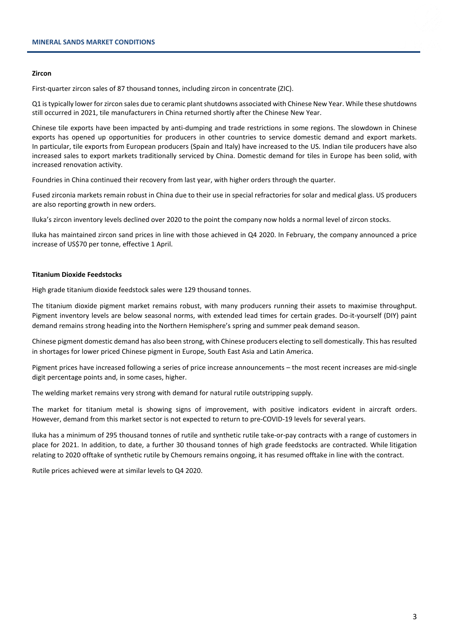## **Zircon**

First-quarter zircon sales of 87 thousand tonnes, including zircon in concentrate (ZIC).

Q1 is typically lower for zircon sales due to ceramic plant shutdowns associated with Chinese New Year. While these shutdowns still occurred in 2021, tile manufacturers in China returned shortly after the Chinese New Year.

Chinese tile exports have been impacted by anti-dumping and trade restrictions in some regions. The slowdown in Chinese exports has opened up opportunities for producers in other countries to service domestic demand and export markets. In particular, tile exports from European producers (Spain and Italy) have increased to the US. Indian tile producers have also increased sales to export markets traditionally serviced by China. Domestic demand for tiles in Europe has been solid, with increased renovation activity.

Foundries in China continued their recovery from last year, with higher orders through the quarter.

Fused zirconia markets remain robust in China due to their use in special refractories for solar and medical glass. US producers are also reporting growth in new orders.

Iluka's zircon inventory levels declined over 2020 to the point the company now holds a normal level of zircon stocks.

Iluka has maintained zircon sand prices in line with those achieved in Q4 2020. In February, the company announced a price increase of US\$70 per tonne, effective 1 April.

# **Titanium Dioxide Feedstocks**

High grade titanium dioxide feedstock sales were 129 thousand tonnes.

The titanium dioxide pigment market remains robust, with many producers running their assets to maximise throughput. Pigment inventory levels are below seasonal norms, with extended lead times for certain grades. Do-it-yourself (DIY) paint demand remains strong heading into the Northern Hemisphere's spring and summer peak demand season.

Chinese pigment domestic demand has also been strong, with Chinese producers electing to sell domestically. This has resulted in shortages for lower priced Chinese pigment in Europe, South East Asia and Latin America.

Pigment prices have increased following a series of price increase announcements – the most recent increases are mid-single digit percentage points and, in some cases, higher.

The welding market remains very strong with demand for natural rutile outstripping supply.

The market for titanium metal is showing signs of improvement, with positive indicators evident in aircraft orders. However, demand from this market sector is not expected to return to pre-COVID-19 levels for several years.

Iluka has a minimum of 295 thousand tonnes of rutile and synthetic rutile take-or-pay contracts with a range of customers in place for 2021. In addition, to date, a further 30 thousand tonnes of high grade feedstocks are contracted. While litigation relating to 2020 offtake of synthetic rutile by Chemours remains ongoing, it has resumed offtake in line with the contract.

Rutile prices achieved were at similar levels to Q4 2020.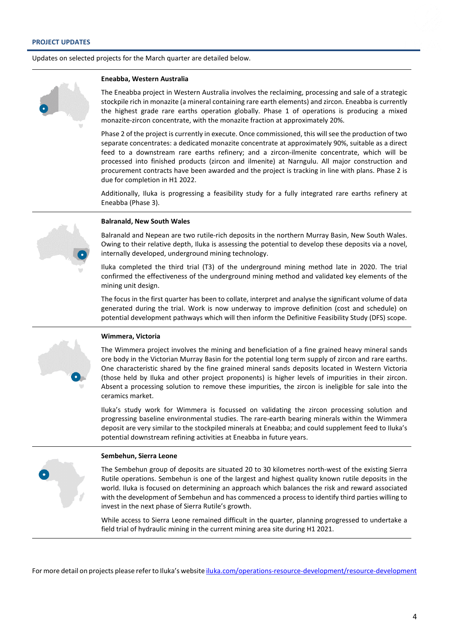Updates on selected projects for the March quarter are detailed below.

# **Eneabba, Western Australia**

The Eneabba project in Western Australia involves the reclaiming, processing and sale of a strategic stockpile rich in monazite (a mineral containing rare earth elements) and zircon. Eneabba is currently the highest grade rare earths operation globally. Phase 1 of operations is producing a mixed monazite-zircon concentrate, with the monazite fraction at approximately 20%.

Phase 2 of the project is currently in execute. Once commissioned, this will see the production of two separate concentrates: a dedicated monazite concentrate at approximately 90%, suitable as a direct feed to a downstream rare earths refinery; and a zircon-ilmenite concentrate, which will be processed into finished products (zircon and ilmenite) at Narngulu. All major construction and procurement contracts have been awarded and the project is tracking in line with plans. Phase 2 is due for completion in H1 2022.

Additionally, Iluka is progressing a feasibility study for a fully integrated rare earths refinery at Eneabba (Phase 3).

# **Balranald, New South Wales**

Balranald and Nepean are two rutile-rich deposits in the northern Murray Basin, New South Wales. Owing to their relative depth, Iluka is assessing the potential to develop these deposits via a novel, internally developed, underground mining technology.

Iluka completed the third trial (T3) of the underground mining method late in 2020. The trial confirmed the effectiveness of the underground mining method and validated key elements of the mining unit design.

The focus in the first quarter has been to collate, interpret and analyse the significant volume of data generated during the trial. Work is now underway to improve definition (cost and schedule) on potential development pathways which will then inform the Definitive Feasibility Study (DFS) scope.



# **Wimmera, Victoria**

The Wimmera project involves the mining and beneficiation of a fine grained heavy mineral sands ore body in the Victorian Murray Basin for the potential long term supply of zircon and rare earths. One characteristic shared by the fine grained mineral sands deposits located in Western Victoria (those held by Iluka and other project proponents) is higher levels of impurities in their zircon. Absent a processing solution to remove these impurities, the zircon is ineligible for sale into the ceramics market.

Iluka's study work for Wimmera is focussed on validating the zircon processing solution and progressing baseline environmental studies. The rare-earth bearing minerals within the Wimmera deposit are very similar to the stockpiled minerals at Eneabba; and could supplement feed to Iluka's potential downstream refining activities at Eneabba in future years.

#### **Sembehun, Sierra Leone**

The Sembehun group of deposits are situated 20 to 30 kilometres north-west of the existing Sierra Rutile operations. Sembehun is one of the largest and highest quality known rutile deposits in the world. Iluka is focused on determining an approach which balances the risk and reward associated with the development of Sembehun and has commenced a process to identify third parties willing to invest in the next phase of Sierra Rutile's growth.

While access to Sierra Leone remained difficult in the quarter, planning progressed to undertake a field trial of hydraulic mining in the current mining area site during H1 2021.

For more detail on projects please referto Iluka's websit[e iluka.com/operations-resource-development/resource-development](http://www.iluka.com/operations-resource-development/resource-development)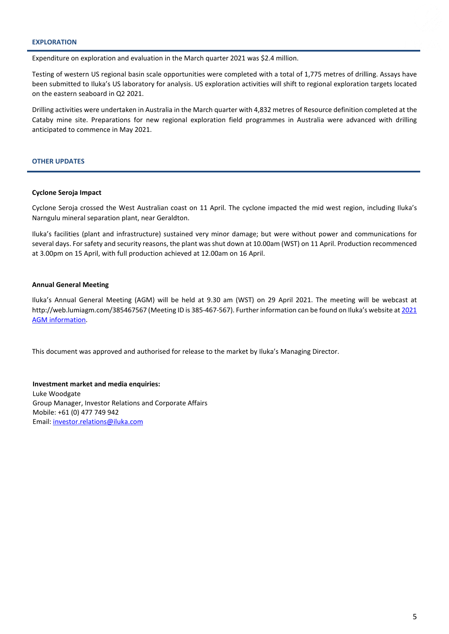# **EXPLORATION**

Expenditure on exploration and evaluation in the March quarter 2021 was \$2.4 million.

Testing of western US regional basin scale opportunities were completed with a total of 1,775 metres of drilling. Assays have been submitted to Iluka's US laboratory for analysis. US exploration activities will shift to regional exploration targets located on the eastern seaboard in Q2 2021.

Drilling activities were undertaken in Australia in the March quarter with 4,832 metres of Resource definition completed at the Cataby mine site. Preparations for new regional exploration field programmes in Australia were advanced with drilling anticipated to commence in May 2021.

# **OTHER UPDATES**

# **Cyclone Seroja Impact**

Cyclone Seroja crossed the West Australian coast on 11 April. The cyclone impacted the mid west region, including Iluka's Narngulu mineral separation plant, near Geraldton.

Iluka's facilities (plant and infrastructure) sustained very minor damage; but were without power and communications for several days. For safety and security reasons, the plant was shut down at 10.00am (WST) on 11 April. Production recommenced at 3.00pm on 15 April, with full production achieved at 12.00am on 16 April.

# **Annual General Meeting**

Iluka's Annual General Meeting (AGM) will be held at 9.30 am (WST) on 29 April 2021. The meeting will be webcast at http://web.lumiagm.com/385467567 (Meeting ID is 385-467-567). Further information can be found on Iluka's website a[t 2021](https://www.iluka.com/investors-media/shareholder-information/2021-agm-information)  [AGM information.](https://www.iluka.com/investors-media/shareholder-information/2021-agm-information)

This document was approved and authorised for release to the market by Iluka's Managing Director.

**Investment market and media enquiries:** Luke Woodgate Group Manager, Investor Relations and Corporate Affairs Mobile: +61 (0) 477 749 942 Email[: investor.relations@iluka.com](mailto:investor.relations@iluka.com)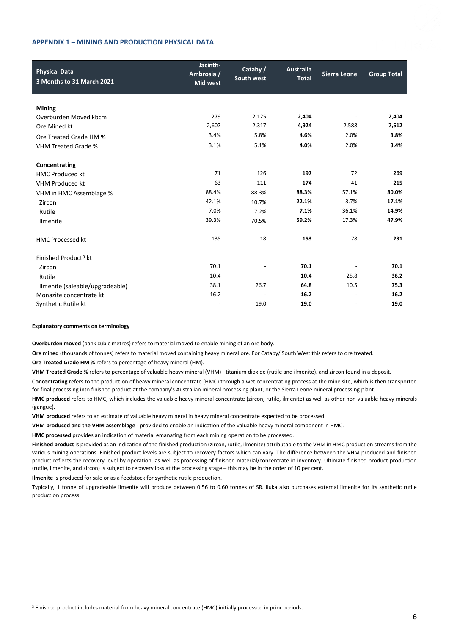# **APPENDIX 1 – MINING AND PRODUCTION PHYSICAL DATA**



| <b>Physical Data</b><br>3 Months to 31 March 2021 | Jacinth-<br>Ambrosia /<br><b>Mid west</b> | Cataby /<br>South west | <b>Australia</b><br><b>Total</b> | <b>Sierra Leone</b>      | <b>Group Total</b> |
|---------------------------------------------------|-------------------------------------------|------------------------|----------------------------------|--------------------------|--------------------|
|                                                   |                                           |                        |                                  |                          |                    |
| <b>Mining</b>                                     | 279                                       |                        |                                  |                          |                    |
| Overburden Moved kbcm                             |                                           | 2,125                  | 2,404                            |                          | 2,404              |
| Ore Mined kt                                      | 2,607                                     | 2,317                  | 4,924                            | 2,588                    | 7,512              |
| Ore Treated Grade HM %                            | 3.4%                                      | 5.8%                   | 4.6%                             | 2.0%                     | 3.8%               |
| <b>VHM Treated Grade %</b>                        | 3.1%                                      | 5.1%                   | 4.0%                             | 2.0%                     | 3.4%               |
| Concentrating                                     |                                           |                        |                                  |                          |                    |
| <b>HMC Produced kt</b>                            | 71                                        | 126                    | 197                              | 72                       | 269                |
| <b>VHM Produced kt</b>                            | 63                                        | 111                    | 174                              | 41                       | 215                |
| VHM in HMC Assemblage %                           | 88.4%                                     | 88.3%                  | 88.3%                            | 57.1%                    | 80.0%              |
| Zircon                                            | 42.1%                                     | 10.7%                  | 22.1%                            | 3.7%                     | 17.1%              |
| Rutile                                            | 7.0%                                      | 7.2%                   | 7.1%                             | 36.1%                    | 14.9%              |
| <b>Ilmenite</b>                                   | 39.3%                                     | 70.5%                  | 59.2%                            | 17.3%                    | 47.9%              |
| <b>HMC Processed kt</b>                           | 135                                       | 18                     | 153                              | 78                       | 231                |
| Finished Product <sup>3</sup> kt                  |                                           |                        |                                  |                          |                    |
| Zircon                                            | 70.1                                      |                        | 70.1                             |                          | 70.1               |
| Rutile                                            | 10.4                                      |                        | 10.4                             | 25.8                     | 36.2               |
| Ilmenite (saleable/upgradeable)                   | 38.1                                      | 26.7                   | 64.8                             | 10.5                     | 75.3               |
| Monazite concentrate kt                           | 16.2                                      |                        | 16.2                             | $\overline{\phantom{a}}$ | 16.2               |
| Synthetic Rutile kt                               | $\overline{\phantom{a}}$                  | 19.0                   | 19.0                             | $\overline{\phantom{a}}$ | 19.0               |

#### **Explanatory comments on terminology**

**Overburden moved** (bank cubic metres) refers to material moved to enable mining of an ore body.

**Ore mined** (thousands of tonnes) refers to material moved containing heavy mineral ore. For Cataby/ South West this refers to ore treated.

**Ore Treated Grade HM %** refers to percentage of heavy mineral (HM).

**VHM Treated Grade %** refers to percentage of valuable heavy mineral (VHM) - titanium dioxide (rutile and ilmenite), and zircon found in a deposit.

**Concentrating** refers to the production of heavy mineral concentrate (HMC) through a wet concentrating process at the mine site, which is then transported for final processing into finished product at the company's Australian mineral processing plant, or the Sierra Leone mineral processing plant.

**HMC produced** refers to HMC, which includes the valuable heavy mineral concentrate (zircon, rutile, ilmenite) as well as other non-valuable heavy minerals (gangue).

**VHM produced** refers to an estimate of valuable heavy mineral in heavy mineral concentrate expected to be processed.

**VHM produced and the VHM assemblage** - provided to enable an indication of the valuable heavy mineral component in HMC.

**HMC processed** provides an indication of material emanating from each mining operation to be processed.

**Finished product** is provided as an indication of the finished production (zircon, rutile, ilmenite) attributable to the VHM in HMC production streams from the various mining operations. Finished product levels are subject to recovery factors which can vary. The difference between the VHM produced and finished product reflects the recovery level by operation, as well as processing of finished material/concentrate in inventory. Ultimate finished product production (rutile, ilmenite, and zircon) is subject to recovery loss at the processing stage – this may be in the order of 10 per cent.

**Ilmenite** is produced for sale or as a feedstock for synthetic rutile production.

Typically, 1 tonne of upgradeable ilmenite will produce between 0.56 to 0.60 tonnes of SR. Iluka also purchases external ilmenite for its synthetic rutile production process.

<span id="page-5-0"></span><sup>&</sup>lt;sup>3</sup> Finished product includes material from heavy mineral concentrate (HMC) initially processed in prior periods.